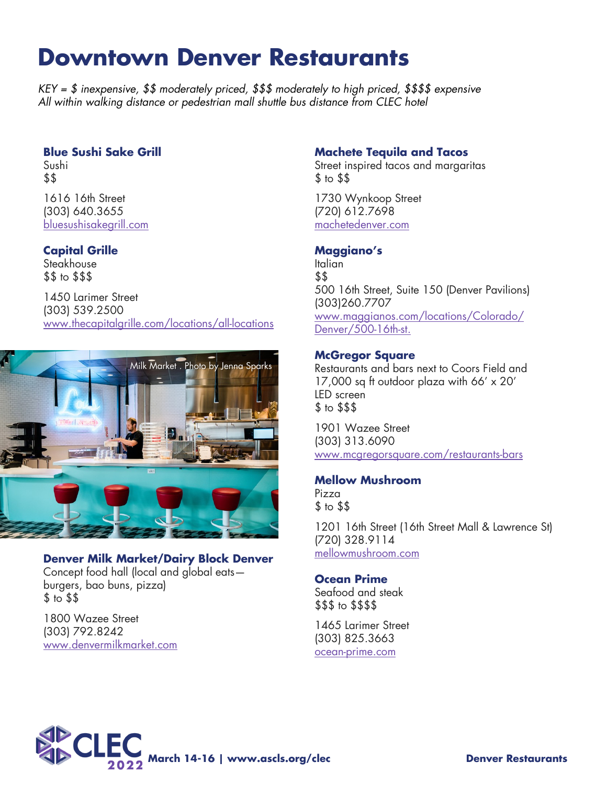# **Downtown Denver Restaurants**

*KEY = \$ inexpensive, \$\$ moderately priced, \$\$\$ moderately to high priced, \$\$\$\$ expensive All within walking distance or pedestrian mall shuttle bus distance from CLEC hotel*

#### **Blue Sushi Sake Grill**

Sushi \$\$

1616 16th Street (303) 640.3655 bluesushisakegrill.com

## **Capital Grille**

**Steakhouse** \$\$ to \$\$\$

1450 Larimer Street (303) 539.2500 www.thecapitalgrille.com/locations/all-locations



**Denver Milk Market/Dairy Block Denver** Concept food hall (local and global eats burgers, bao buns, pizza)

 $$$  to  $$$ \$ 1800 Wazee Street (303) 792.8242 www.denvermilkmarket.com

## **Machete Tequila and Tacos**

Street inspired tacos and margaritas \$ to \$\$

1730 Wynkoop Street (720) 612.7698 machetedenver.com

#### **Maggiano's**

Italian \$\$ 500 16th Street, Suite 150 (Denver Pavilions) (303)260.7707 www.maggianos.com/locations/Colorado/ Denver/500-16th-st.

#### **McGregor Square**

Restaurants and bars next to Coors Field and 17,000 sq ft outdoor plaza with 66' x 20' LED screen \$ to \$\$\$

1901 Wazee Street (303) 313.6090 www.mcgregorsquare.com/restaurants-bars

#### **Mellow Mushroom**

Pizza \$ to \$\$

1201 16th Street (16th Street Mall & Lawrence St) (720) 328.9114 mellowmushroom.com

#### **Ocean Prime**

Seafood and steak \$\$\$ to \$\$\$\$

1465 Larimer Street (303) 825.3663 ocean-prime.com